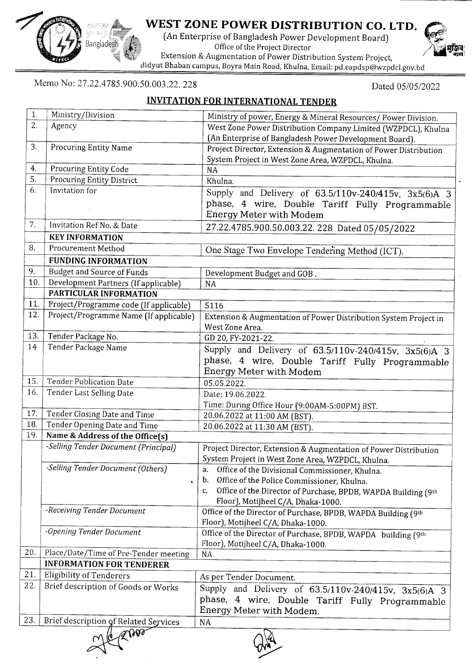

## WEST ZONE POWER DISTRIBUTION CO. LTD.

(An Enterprise of Bangladesh Power Development Board) Office of the Project Director Extension & Augmentation of Power Distribution System Project,

Bidyut Bhaban campus,Boyra Main Road, Khulna, Email: pd.eapdsp@wzpdcl.gov.bd

Memo No: 27.22.4785.900.50.003.22. 228

Dated 05/05/2022

## INVITATION FOR INTERNATIONAL TENDER

| 1.         | Ministry/Division                         |                                                                                                    |  |  |  |  |  |
|------------|-------------------------------------------|----------------------------------------------------------------------------------------------------|--|--|--|--|--|
| 2.         |                                           | Ministry of power, Energy & Mineral Resources/ Power Division.                                     |  |  |  |  |  |
|            | Agency                                    | West Zone Power Distribution Company Limited (WZPDCL), Khulna                                      |  |  |  |  |  |
| 3.         | <b>Procuring Entity Name</b>              | (An Enterprise of Bangladesh Power Development Board).                                             |  |  |  |  |  |
|            |                                           | Project Director, Extension & Augmentation of Power Distribution                                   |  |  |  |  |  |
| 4.         | Procuring Entity Code                     | System Project in West Zone Area, WZPDCL, Khulna.<br><b>NA</b>                                     |  |  |  |  |  |
| 5.         | <b>Procuring Entity District</b>          | Khulna.                                                                                            |  |  |  |  |  |
| 6.         | Invitation for                            |                                                                                                    |  |  |  |  |  |
|            |                                           | Supply and Delivery of 63.5/110v-240/415v, 3x5(6)A 3                                               |  |  |  |  |  |
|            |                                           | phase, 4 wire, Double Tariff Fully Programmable                                                    |  |  |  |  |  |
| 7.         | Invitation Ref No. & Date                 | Energy Meter with Modem                                                                            |  |  |  |  |  |
|            |                                           | 27.22.4785.900.50.003.22. 228 Dated 05/05/2022                                                     |  |  |  |  |  |
| 8.         | <b>KEY INFORMATION</b>                    |                                                                                                    |  |  |  |  |  |
|            | <b>Procurement Method</b>                 | One Stage Two Envelope Tendering Method (ICT).                                                     |  |  |  |  |  |
|            | <b>FUNDING INFORMATION</b>                |                                                                                                    |  |  |  |  |  |
| 9.         | <b>Budget and Source of Funds</b>         | Development Budget and GOB.                                                                        |  |  |  |  |  |
| 10.        | Development Partners (If applicable)      | <b>NA</b>                                                                                          |  |  |  |  |  |
|            | PARTICULAR INFORMATION                    |                                                                                                    |  |  |  |  |  |
| 11.        | Project/Programme code (If applicable)    | 5116                                                                                               |  |  |  |  |  |
| 12.        | Project/Programme Name (If applicable)    | Extension & Augmentation of Power Distribution System Project in                                   |  |  |  |  |  |
| 13.        |                                           | West Zone Area.                                                                                    |  |  |  |  |  |
| 14         | Tender Package No.<br>Tender Package Name | GD 20, FY-2021-22.                                                                                 |  |  |  |  |  |
|            |                                           | Supply and Delivery of 63.5/110v-240/415v, 3x5(6)A 3                                               |  |  |  |  |  |
|            |                                           | phase, 4 wire, Double Tariff Fully Programmable                                                    |  |  |  |  |  |
|            |                                           | Energy Meter with Modem                                                                            |  |  |  |  |  |
| 15.<br>16. | <b>Tender Publication Date</b>            | 05.05.2022.                                                                                        |  |  |  |  |  |
|            | Tender Last Selling Date                  | Date: 19.06.2022.                                                                                  |  |  |  |  |  |
| 17.        | Tender Closing Date and Time              | Time: During Office Hour (9:00AM-5:00PM) BST.                                                      |  |  |  |  |  |
| 18.        | Tender Opening Date and Time              | 20.06.2022 at 11:00 AM (BST).                                                                      |  |  |  |  |  |
| 19.        | Name & Address of the Office(s)           | 20.06.2022 at 11:30 AM (BST).                                                                      |  |  |  |  |  |
|            | -Selling Tender Document (Principal)      |                                                                                                    |  |  |  |  |  |
|            |                                           | Project Director, Extension & Augmentation of Power Distribution                                   |  |  |  |  |  |
|            | -Selling Tender Document (Others)         | System Project in West Zone Area, WZPDCL, Khulna.<br>a.                                            |  |  |  |  |  |
|            |                                           | Office of the Divisional Commissioner, Khulna.<br>Office of the Police Commissioner, Khulna.<br>b. |  |  |  |  |  |
|            | Â.                                        | Office of the Director of Purchase, BPDB, WAPDA Building (9th<br>c.                                |  |  |  |  |  |
|            |                                           | Floor), Motijheel C/A, Dhaka-1000.                                                                 |  |  |  |  |  |
|            | -Receiving Tender Document                | Office of the Director of Purchase, BPDB, WAPDA Building (9th                                      |  |  |  |  |  |
|            |                                           | Floor), Motijheel C/A, Dhaka-1000.                                                                 |  |  |  |  |  |
|            | -Opening Tender Document                  | Office of the Director of Purchase, BPDB, WAPDA building (9th                                      |  |  |  |  |  |
|            |                                           | Floor), Motijheel C/A, Dhaka-1000.                                                                 |  |  |  |  |  |
| 20.        | Place/Date/Time of Pre-Tender meeting     | <b>NA</b>                                                                                          |  |  |  |  |  |
|            | <b>INFORMATION FOR TENDERER</b>           |                                                                                                    |  |  |  |  |  |
| 21.        | <b>Eligibility of Tenderers</b>           | As per Tender Document.                                                                            |  |  |  |  |  |
| 22.        | Brief description of Goods or Works       | Supply and Delivery of 63.5/110v-240/415v, 3x5(6)A 3                                               |  |  |  |  |  |
|            |                                           | phase, 4 wire, Double Tariff Fully Programmable                                                    |  |  |  |  |  |
|            |                                           | Energy Meter with Modem.                                                                           |  |  |  |  |  |
| 23.        | Brief description of Related Services     | NA                                                                                                 |  |  |  |  |  |
| 768000     |                                           |                                                                                                    |  |  |  |  |  |
|            |                                           |                                                                                                    |  |  |  |  |  |
|            |                                           |                                                                                                    |  |  |  |  |  |

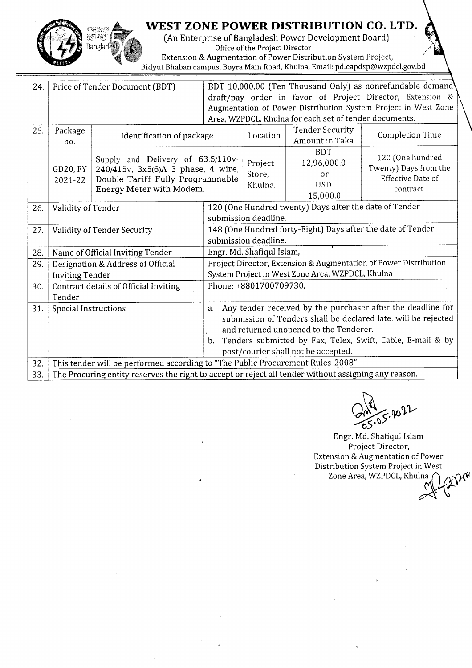

## WEST ZONE POWER DISTRIBUTION CO. LTD.

(An Enterprise of Bangladesh Power Development Board) Office of the Project Director Extension & Augmentation of Power Distribution System Project,

Bidyut Bhaban campus, Boyra Main Road, Khulna, Email: pd.eapdsp@wzpdcl.gov.bd

| 24. |                                                                                                                                                                | Price of Tender Document (BDT)                                                  | BDT 10,000.00 (Ten Thousand Only) as nonrefundable demand        |                                                                  |                        |                                                                |  |  |
|-----|----------------------------------------------------------------------------------------------------------------------------------------------------------------|---------------------------------------------------------------------------------|------------------------------------------------------------------|------------------------------------------------------------------|------------------------|----------------------------------------------------------------|--|--|
|     |                                                                                                                                                                |                                                                                 |                                                                  |                                                                  |                        | draft/pay order in favor of Project Director, Extension &      |  |  |
|     |                                                                                                                                                                |                                                                                 |                                                                  |                                                                  |                        | Augmentation of Power Distribution System Project in West Zone |  |  |
|     |                                                                                                                                                                |                                                                                 | Area, WZPDCL, Khulna for each set of tender documents.           |                                                                  |                        |                                                                |  |  |
| 25. | Package                                                                                                                                                        |                                                                                 |                                                                  | Location                                                         | <b>Tender Security</b> | Completion Time                                                |  |  |
|     | no.                                                                                                                                                            | Identification of package                                                       |                                                                  |                                                                  | Amount in Taka         |                                                                |  |  |
|     |                                                                                                                                                                |                                                                                 |                                                                  |                                                                  | <b>BDT</b>             | 120 (One hundred<br>Twenty) Days from the                      |  |  |
|     | Supply and Delivery of 63.5/110v-<br>GD20, FY<br>240/415v, 3x5(6)A 3 phase, 4 wire,<br>Double Tariff Fully Programmable<br>2021-22<br>Energy Meter with Modem. |                                                                                 |                                                                  |                                                                  | 12,96,000.0            |                                                                |  |  |
|     |                                                                                                                                                                |                                                                                 |                                                                  | Store,                                                           | or                     | Effective Date of                                              |  |  |
|     |                                                                                                                                                                |                                                                                 | Khulna.                                                          | <b>USD</b>                                                       | contract.              |                                                                |  |  |
|     |                                                                                                                                                                |                                                                                 |                                                                  |                                                                  | 15,000.0               |                                                                |  |  |
| 26. | Validity of Tender                                                                                                                                             | 120 (One Hundred twenty) Days after the date of Tender                          |                                                                  |                                                                  |                        |                                                                |  |  |
|     |                                                                                                                                                                |                                                                                 | submission deadline.                                             |                                                                  |                        |                                                                |  |  |
| 27. |                                                                                                                                                                | Validity of Tender Security                                                     | 148 (One Hundred forty-Eight) Days after the date of Tender      |                                                                  |                        |                                                                |  |  |
|     |                                                                                                                                                                |                                                                                 | submission deadline.                                             |                                                                  |                        |                                                                |  |  |
| 28. |                                                                                                                                                                | Name of Official Inviting Tender                                                |                                                                  | Engr. Md. Shafiqul Islam,                                        |                        |                                                                |  |  |
| 29. | Designation & Address of Official                                                                                                                              |                                                                                 |                                                                  | Project Director, Extension & Augmentation of Power Distribution |                        |                                                                |  |  |
|     | <b>Inviting Tender</b>                                                                                                                                         |                                                                                 | System Project in West Zone Area, WZPDCL, Khulna                 |                                                                  |                        |                                                                |  |  |
| 30. | Phone: +8801700709730,<br>Contract details of Official Inviting                                                                                                |                                                                                 |                                                                  |                                                                  |                        |                                                                |  |  |
|     | Tender                                                                                                                                                         |                                                                                 |                                                                  |                                                                  |                        |                                                                |  |  |
| 31. | Any tender received by the purchaser after the deadline for<br>Special Instructions<br>a.                                                                      |                                                                                 |                                                                  |                                                                  |                        |                                                                |  |  |
|     |                                                                                                                                                                |                                                                                 | submission of Tenders shall be declared late, will be rejected   |                                                                  |                        |                                                                |  |  |
|     |                                                                                                                                                                |                                                                                 | and returned unopened to the Tenderer.                           |                                                                  |                        |                                                                |  |  |
|     |                                                                                                                                                                |                                                                                 | Tenders submitted by Fax, Telex, Swift, Cable, E-mail & by<br>b. |                                                                  |                        |                                                                |  |  |
|     |                                                                                                                                                                |                                                                                 | post/courier shall not be accepted.                              |                                                                  |                        |                                                                |  |  |
| 32. |                                                                                                                                                                | This tender will be performed according to "The Public Procurement Rules-2008". |                                                                  |                                                                  |                        |                                                                |  |  |
| 33. | The Procuring entity reserves the right to accept or reject all tender without assigning any reason.                                                           |                                                                                 |                                                                  |                                                                  |                        |                                                                |  |  |

 $ES.8022$ 

Engr. Md. Shafiqul Islam Project Director, Extension & Augmentation of Power Distribution System Project in West Zone Area, WZPDCL, Khulna<br>M